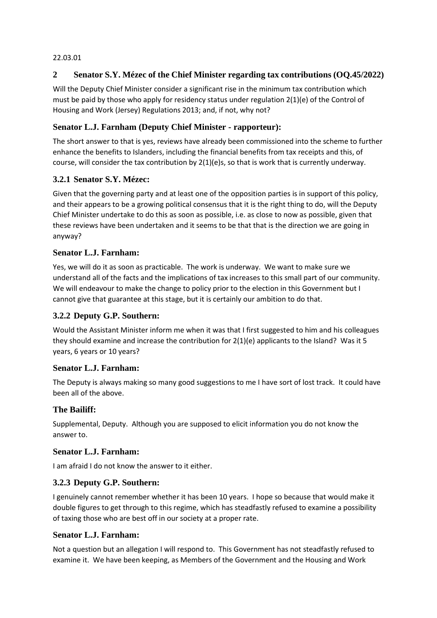#### 22.03.01

## **2 Senator S.Y. Mézec of the Chief Minister regarding tax contributions (OQ.45/2022)**

Will the Deputy Chief Minister consider a significant rise in the minimum tax contribution which must be paid by those who apply for residency status under regulation 2(1)(e) of the Control of Housing and Work (Jersey) Regulations 2013; and, if not, why not?

#### **Senator L.J. Farnham (Deputy Chief Minister - rapporteur):**

The short answer to that is yes, reviews have already been commissioned into the scheme to further enhance the benefits to Islanders, including the financial benefits from tax receipts and this, of course, will consider the tax contribution by  $2(1)(e)s$ , so that is work that is currently underway.

### **3.2.1 Senator S.Y. Mézec:**

Given that the governing party and at least one of the opposition parties is in support of this policy, and their appears to be a growing political consensus that it is the right thing to do, will the Deputy Chief Minister undertake to do this as soon as possible, i.e. as close to now as possible, given that these reviews have been undertaken and it seems to be that that is the direction we are going in anyway?

### **Senator L.J. Farnham:**

Yes, we will do it as soon as practicable. The work is underway. We want to make sure we understand all of the facts and the implications of tax increases to this small part of our community. We will endeavour to make the change to policy prior to the election in this Government but I cannot give that guarantee at this stage, but it is certainly our ambition to do that.

## **3.2.2 Deputy G.P. Southern:**

Would the Assistant Minister inform me when it was that I first suggested to him and his colleagues they should examine and increase the contribution for 2(1)(e) applicants to the Island? Was it 5 years, 6 years or 10 years?

#### **Senator L.J. Farnham:**

The Deputy is always making so many good suggestions to me I have sort of lost track. It could have been all of the above.

#### **The Bailiff:**

Supplemental, Deputy. Although you are supposed to elicit information you do not know the answer to.

#### **Senator L.J. Farnham:**

I am afraid I do not know the answer to it either.

#### **3.2.3 Deputy G.P. Southern:**

I genuinely cannot remember whether it has been 10 years. I hope so because that would make it double figures to get through to this regime, which has steadfastly refused to examine a possibility of taxing those who are best off in our society at a proper rate.

#### **Senator L.J. Farnham:**

Not a question but an allegation I will respond to. This Government has not steadfastly refused to examine it. We have been keeping, as Members of the Government and the Housing and Work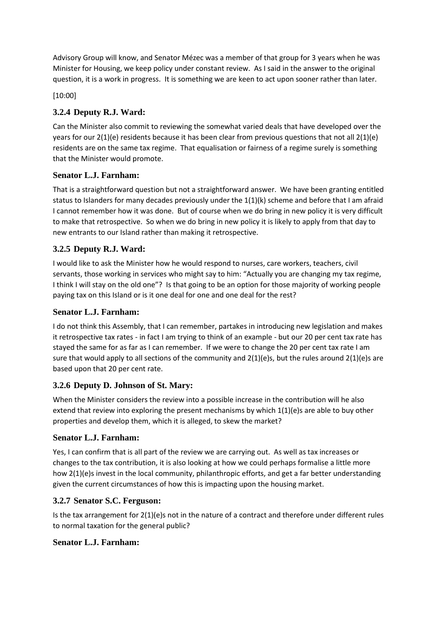Advisory Group will know, and Senator Mézec was a member of that group for 3 years when he was Minister for Housing, we keep policy under constant review. As I said in the answer to the original question, it is a work in progress. It is something we are keen to act upon sooner rather than later.

[10:00]

# **3.2.4 Deputy R.J. Ward:**

Can the Minister also commit to reviewing the somewhat varied deals that have developed over the years for our 2(1)(e) residents because it has been clear from previous questions that not all 2(1)(e) residents are on the same tax regime. That equalisation or fairness of a regime surely is something that the Minister would promote.

## **Senator L.J. Farnham:**

That is a straightforward question but not a straightforward answer. We have been granting entitled status to Islanders for many decades previously under the 1(1)(k) scheme and before that I am afraid I cannot remember how it was done. But of course when we do bring in new policy it is very difficult to make that retrospective. So when we do bring in new policy it is likely to apply from that day to new entrants to our Island rather than making it retrospective.

# **3.2.5 Deputy R.J. Ward:**

I would like to ask the Minister how he would respond to nurses, care workers, teachers, civil servants, those working in services who might say to him: "Actually you are changing my tax regime, I think I will stay on the old one"? Is that going to be an option for those majority of working people paying tax on this Island or is it one deal for one and one deal for the rest?

## **Senator L.J. Farnham:**

I do not think this Assembly, that I can remember, partakes in introducing new legislation and makes it retrospective tax rates - in fact I am trying to think of an example - but our 20 per cent tax rate has stayed the same for as far as I can remember. If we were to change the 20 per cent tax rate I am sure that would apply to all sections of the community and 2(1)(e)s, but the rules around 2(1)(e)s are based upon that 20 per cent rate.

## **3.2.6 Deputy D. Johnson of St. Mary:**

When the Minister considers the review into a possible increase in the contribution will he also extend that review into exploring the present mechanisms by which  $1(1)(e)$ s are able to buy other properties and develop them, which it is alleged, to skew the market?

## **Senator L.J. Farnham:**

Yes, I can confirm that is all part of the review we are carrying out. As well as tax increases or changes to the tax contribution, it is also looking at how we could perhaps formalise a little more how 2(1)(e)s invest in the local community, philanthropic efforts, and get a far better understanding given the current circumstances of how this is impacting upon the housing market.

## **3.2.7 Senator S.C. Ferguson:**

Is the tax arrangement for 2(1)(e)s not in the nature of a contract and therefore under different rules to normal taxation for the general public?

## **Senator L.J. Farnham:**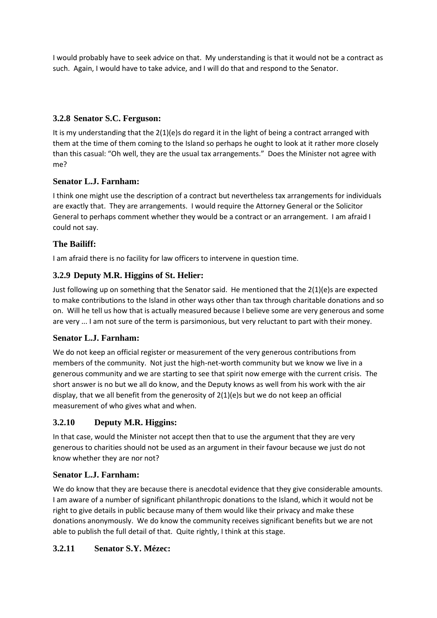I would probably have to seek advice on that. My understanding is that it would not be a contract as such. Again, I would have to take advice, and I will do that and respond to the Senator.

## **3.2.8 Senator S.C. Ferguson:**

It is my understanding that the 2(1)(e)s do regard it in the light of being a contract arranged with them at the time of them coming to the Island so perhaps he ought to look at it rather more closely than this casual: "Oh well, they are the usual tax arrangements." Does the Minister not agree with me?

#### **Senator L.J. Farnham:**

I think one might use the description of a contract but nevertheless tax arrangements for individuals are exactly that. They are arrangements. I would require the Attorney General or the Solicitor General to perhaps comment whether they would be a contract or an arrangement. I am afraid I could not say.

#### **The Bailiff:**

I am afraid there is no facility for law officers to intervene in question time.

#### **3.2.9 Deputy M.R. Higgins of St. Helier:**

Just following up on something that the Senator said. He mentioned that the 2(1)(e)s are expected to make contributions to the Island in other ways other than tax through charitable donations and so on. Will he tell us how that is actually measured because I believe some are very generous and some are very ... I am not sure of the term is parsimonious, but very reluctant to part with their money.

#### **Senator L.J. Farnham:**

We do not keep an official register or measurement of the very generous contributions from members of the community. Not just the high-net-worth community but we know we live in a generous community and we are starting to see that spirit now emerge with the current crisis. The short answer is no but we all do know, and the Deputy knows as well from his work with the air display, that we all benefit from the generosity of 2(1)(e)s but we do not keep an official measurement of who gives what and when.

#### **3.2.10 Deputy M.R. Higgins:**

In that case, would the Minister not accept then that to use the argument that they are very generous to charities should not be used as an argument in their favour because we just do not know whether they are nor not?

#### **Senator L.J. Farnham:**

We do know that they are because there is anecdotal evidence that they give considerable amounts. I am aware of a number of significant philanthropic donations to the Island, which it would not be right to give details in public because many of them would like their privacy and make these donations anonymously. We do know the community receives significant benefits but we are not able to publish the full detail of that. Quite rightly, I think at this stage.

#### **3.2.11 Senator S.Y. Mézec:**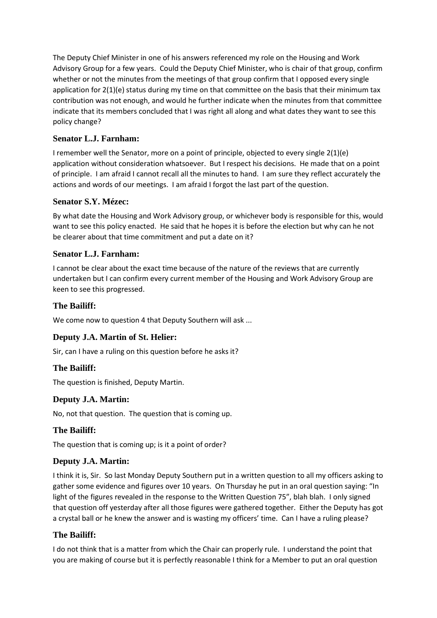The Deputy Chief Minister in one of his answers referenced my role on the Housing and Work Advisory Group for a few years. Could the Deputy Chief Minister, who is chair of that group, confirm whether or not the minutes from the meetings of that group confirm that I opposed every single application for 2(1)(e) status during my time on that committee on the basis that their minimum tax contribution was not enough, and would he further indicate when the minutes from that committee indicate that its members concluded that I was right all along and what dates they want to see this policy change?

## **Senator L.J. Farnham:**

I remember well the Senator, more on a point of principle, objected to every single 2(1)(e) application without consideration whatsoever. But I respect his decisions. He made that on a point of principle. I am afraid I cannot recall all the minutes to hand. I am sure they reflect accurately the actions and words of our meetings. I am afraid I forgot the last part of the question.

### **Senator S.Y. Mézec:**

By what date the Housing and Work Advisory group, or whichever body is responsible for this, would want to see this policy enacted. He said that he hopes it is before the election but why can he not be clearer about that time commitment and put a date on it?

### **Senator L.J. Farnham:**

I cannot be clear about the exact time because of the nature of the reviews that are currently undertaken but I can confirm every current member of the Housing and Work Advisory Group are keen to see this progressed.

### **The Bailiff:**

We come now to question 4 that Deputy Southern will ask ...

## **Deputy J.A. Martin of St. Helier:**

Sir, can I have a ruling on this question before he asks it?

#### **The Bailiff:**

The question is finished, Deputy Martin.

#### **Deputy J.A. Martin:**

No, not that question. The question that is coming up.

#### **The Bailiff:**

The question that is coming up; is it a point of order?

#### **Deputy J.A. Martin:**

I think it is, Sir. So last Monday Deputy Southern put in a written question to all my officers asking to gather some evidence and figures over 10 years. On Thursday he put in an oral question saying: "In light of the figures revealed in the response to the Written Question 75", blah blah. I only signed that question off yesterday after all those figures were gathered together. Either the Deputy has got a crystal ball or he knew the answer and is wasting my officers' time. Can I have a ruling please?

#### **The Bailiff:**

I do not think that is a matter from which the Chair can properly rule. I understand the point that you are making of course but it is perfectly reasonable I think for a Member to put an oral question